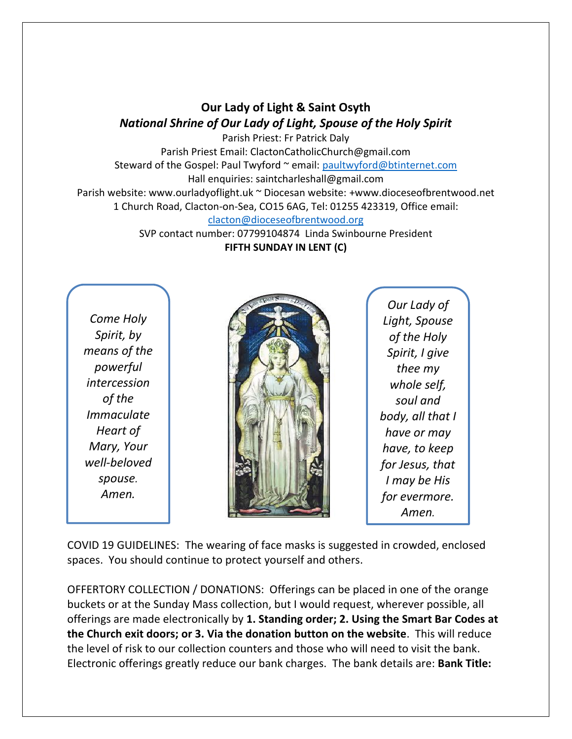## **Our Lady of Light & Saint Osyth** *National Shrine of Our Lady of Light, Spouse of the Holy Spirit*

Parish Priest: Fr Patrick Daly Parish Priest Email: ClactonCatholicChurch@gmail.com Steward of the Gospel: Paul Twyford ~ email: [paultwyford@btinternet.com](mailto:paultwyford@btinternet.com) Hall enquiries: saintcharleshall@gmail.com Parish website: www.ourladyoflight.uk ~ Diocesan website: +www.dioceseofbrentwood.net 1 Church Road, Clacton-on-Sea, CO15 6AG, Tel: 01255 423319, Office email: [clacton@dioceseofbrentwood.org](mailto:clacton@dioceseofbrentwood.org)

SVP contact number: 07799104874 Linda Swinbourne President **FIFTH SUNDAY IN LENT (C)**

*Come Holy Spirit, by means of the powerful intercession of the Immaculate Heart of Mary, Your well-beloved spouse. Amen.*



*Our Lady of Light, Spouse of the Holy Spirit, I give thee my whole self, soul and body, all that I have or may have, to keep for Jesus, that I may be His for evermore. Amen.*

COVID 19 GUIDELINES: The wearing of face masks is suggested in crowded, enclosed spaces. You should continue to protect yourself and others.

OFFERTORY COLLECTION / DONATIONS: Offerings can be placed in one of the orange buckets or at the Sunday Mass collection, but I would request, wherever possible, all offerings are made electronically by **1. Standing order; 2. Using the Smart Bar Codes at the Church exit doors; or 3. Via the donation button on the website**. This will reduce the level of risk to our collection counters and those who will need to visit the bank. Electronic offerings greatly reduce our bank charges. The bank details are: **Bank Title:**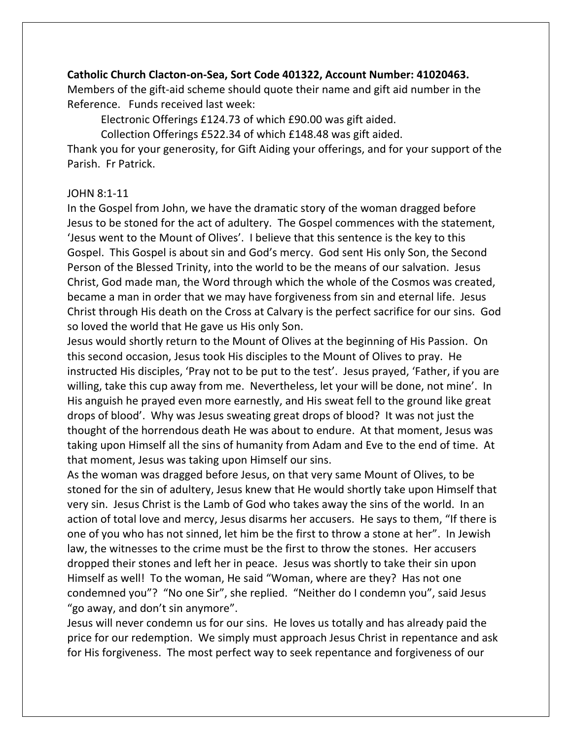## **Catholic Church Clacton-on-Sea, Sort Code 401322, Account Number: 41020463.**

Members of the gift-aid scheme should quote their name and gift aid number in the Reference. Funds received last week:

Electronic Offerings £124.73 of which £90.00 was gift aided.

Collection Offerings £522.34 of which £148.48 was gift aided.

Thank you for your generosity, for Gift Aiding your offerings, and for your support of the Parish. Fr Patrick.

## JOHN 8:1-11

In the Gospel from John, we have the dramatic story of the woman dragged before Jesus to be stoned for the act of adultery. The Gospel commences with the statement, 'Jesus went to the Mount of Olives'. I believe that this sentence is the key to this Gospel. This Gospel is about sin and God's mercy. God sent His only Son, the Second Person of the Blessed Trinity, into the world to be the means of our salvation. Jesus Christ, God made man, the Word through which the whole of the Cosmos was created, became a man in order that we may have forgiveness from sin and eternal life. Jesus Christ through His death on the Cross at Calvary is the perfect sacrifice for our sins. God so loved the world that He gave us His only Son.

Jesus would shortly return to the Mount of Olives at the beginning of His Passion. On this second occasion, Jesus took His disciples to the Mount of Olives to pray. He instructed His disciples, 'Pray not to be put to the test'. Jesus prayed, 'Father, if you are willing, take this cup away from me. Nevertheless, let your will be done, not mine'. In His anguish he prayed even more earnestly, and His sweat fell to the ground like great drops of blood'. Why was Jesus sweating great drops of blood? It was not just the thought of the horrendous death He was about to endure. At that moment, Jesus was taking upon Himself all the sins of humanity from Adam and Eve to the end of time. At that moment, Jesus was taking upon Himself our sins.

As the woman was dragged before Jesus, on that very same Mount of Olives, to be stoned for the sin of adultery, Jesus knew that He would shortly take upon Himself that very sin. Jesus Christ is the Lamb of God who takes away the sins of the world. In an action of total love and mercy, Jesus disarms her accusers. He says to them, "If there is one of you who has not sinned, let him be the first to throw a stone at her". In Jewish law, the witnesses to the crime must be the first to throw the stones. Her accusers dropped their stones and left her in peace. Jesus was shortly to take their sin upon Himself as well! To the woman, He said "Woman, where are they? Has not one condemned you"? "No one Sir", she replied. "Neither do I condemn you", said Jesus "go away, and don't sin anymore".

Jesus will never condemn us for our sins. He loves us totally and has already paid the price for our redemption. We simply must approach Jesus Christ in repentance and ask for His forgiveness. The most perfect way to seek repentance and forgiveness of our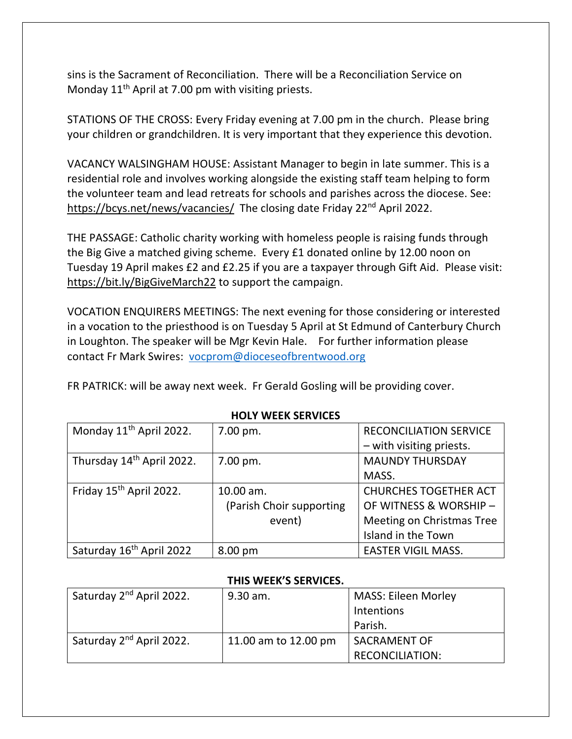sins is the Sacrament of Reconciliation. There will be a Reconciliation Service on Monday  $11<sup>th</sup>$  April at 7.00 pm with visiting priests.

STATIONS OF THE CROSS: Every Friday evening at 7.00 pm in the church. Please bring your children or grandchildren. It is very important that they experience this devotion.

VACANCY WALSINGHAM HOUSE: Assistant Manager to begin in late summer. This is a residential role and involves working alongside the existing staff team helping to form the volunteer team and lead retreats for schools and parishes across the diocese. See: <https://bcys.net/news/vacancies/> The closing date Friday 22<sup>nd</sup> April 2022.

THE PASSAGE: Catholic charity working with homeless people is raising funds through the Big Give a matched giving scheme. Every £1 donated online by 12.00 noon on Tuesday 19 April makes £2 and £2.25 if you are a taxpayer through Gift Aid. Please visit: <https://bit.ly/BigGiveMarch22> to support the campaign.

VOCATION ENQUIRERS MEETINGS: The next evening for those considering or interested in a vocation to the priesthood is on Tuesday 5 April at St Edmund of Canterbury Church in Loughton. The speaker will be Mgr Kevin Hale. For further information please contact Fr Mark Swires: [vocprom@dioceseofbrentwood.org](mailto:vocprom@dioceseofbrentwood.org)

FR PATRICK: will be away next week. Fr Gerald Gosling will be providing cover.

| Monday 11 <sup>th</sup> April 2022.  | 7.00 pm.                 | <b>RECONCILIATION SERVICE</b> |  |
|--------------------------------------|--------------------------|-------------------------------|--|
|                                      |                          | - with visiting priests.      |  |
| Thursday 14th April 2022.            | 7.00 pm.                 | <b>MAUNDY THURSDAY</b>        |  |
|                                      |                          | MASS.                         |  |
| Friday 15 <sup>th</sup> April 2022.  | 10.00 am.                | <b>CHURCHES TOGETHER ACT</b>  |  |
|                                      | (Parish Choir supporting | OF WITNESS & WORSHIP -        |  |
|                                      | event)                   | Meeting on Christmas Tree     |  |
|                                      |                          | Island in the Town            |  |
| Saturday 16 <sup>th</sup> April 2022 | 8.00 pm                  | <b>EASTER VIGIL MASS.</b>     |  |

**HOLY WEEK SERVICES**

## **THIS WEEK'S SERVICES.**

| Saturday 2 <sup>nd</sup> April 2022. | 9.30 am.             | <b>MASS: Eileen Morley</b> |
|--------------------------------------|----------------------|----------------------------|
|                                      |                      | Intentions                 |
|                                      |                      | Parish.                    |
| Saturday 2 <sup>nd</sup> April 2022. | 11.00 am to 12.00 pm | <b>SACRAMENT OF</b>        |
|                                      |                      | <b>RECONCILIATION:</b>     |